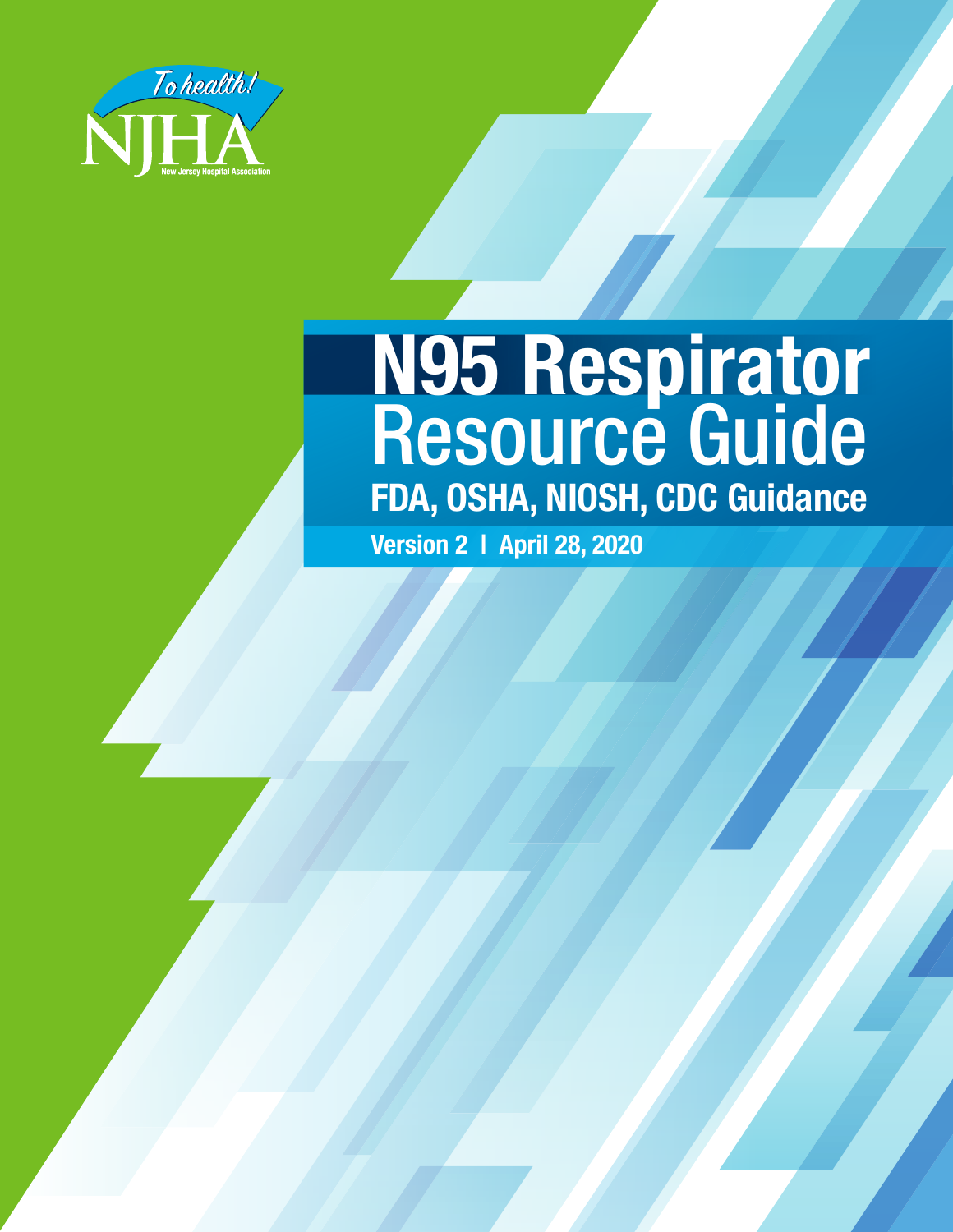

# **N95 Respirator** Resource Guide **FDA, OSHA, NIOSH, CDC Guidance**

**Version 2 | April 28, 2020**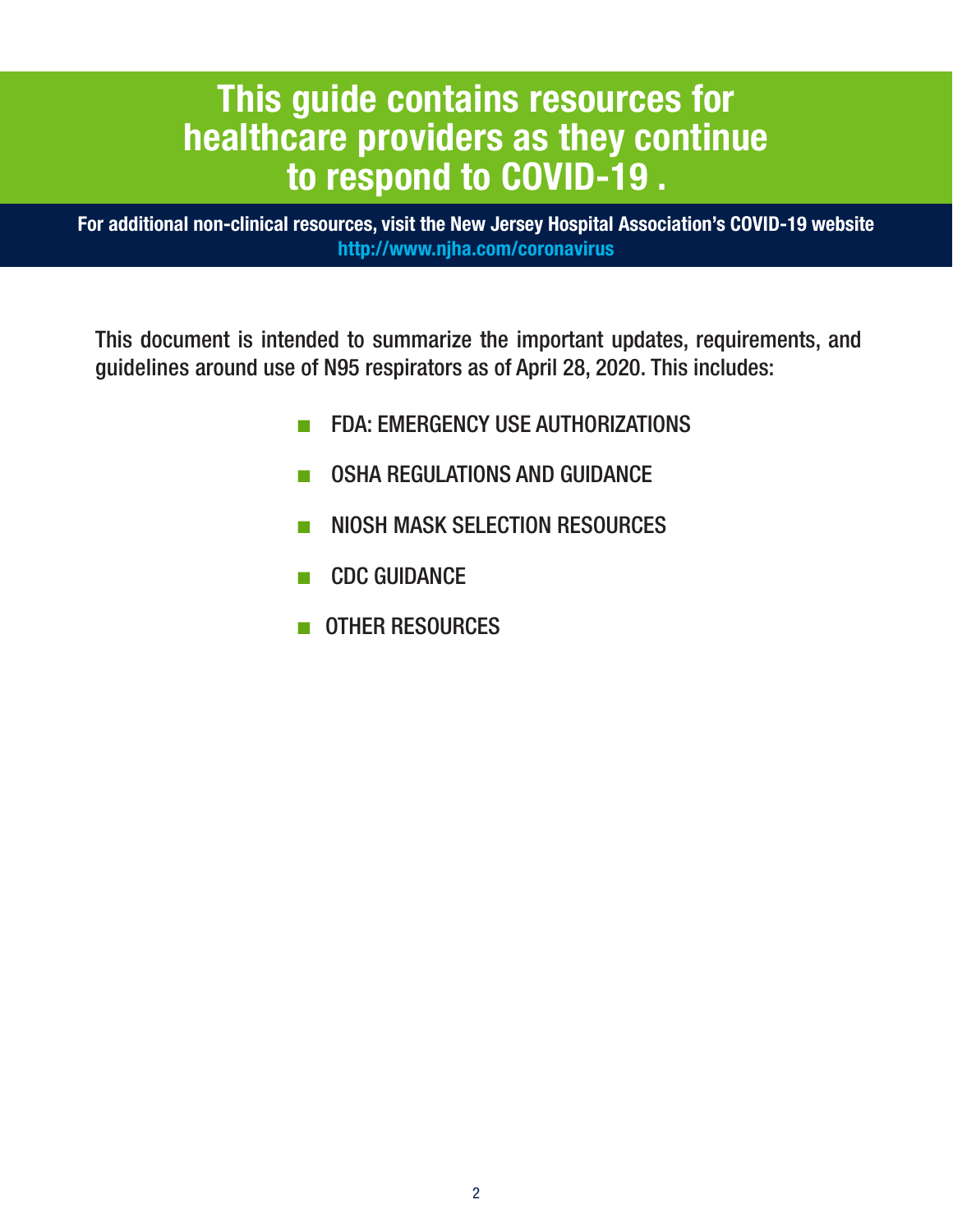# **This guide contains resources for healthcare providers as they continue to respond to COVID-19 .**

**For additional non-clinical resources, visit the New Jersey Hospital Association's COVID-19 website http://www.njha.com/coronavirus**

This document is intended to summarize the important updates, requirements, and guidelines around use of N95 respirators as of April 28, 2020. This includes:

- FDA: EMERGENCY USE AUTHORIZATIONS
- **OSHA REGULATIONS AND GUIDANCE**
- NIOSH MASK SELECTION RESOURCES
- CDC GUIDANCE
- OTHER RESOURCES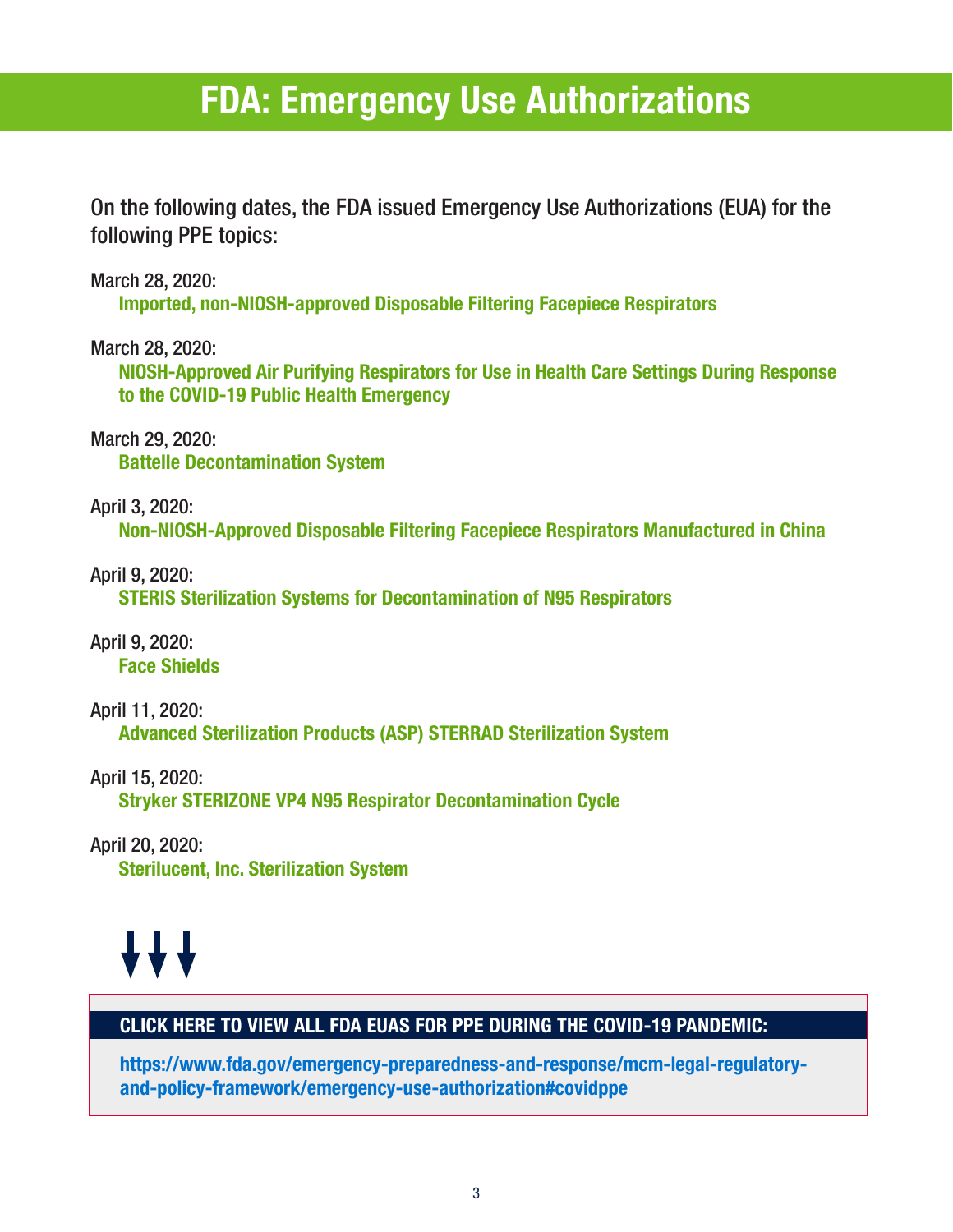# **FDA: Emergency Use Authorizations**

On the following dates, the FDA issued Emergency Use Authorizations (EUA) for the following PPE topics:

March 28, 2020:

**Imported, non-NIOSH-approved Disposable Filtering Facepiece Respirators**

March 28, 2020:

**NIOSH-Approved Air Purifying Respirators for Use in Health Care Settings During Response to the COVID-19 Public Health Emergency**

March 29, 2020: **Battelle Decontamination System**

April 3, 2020: **Non-NIOSH-Approved Disposable Filtering Facepiece Respirators Manufactured in China**

April 9, 2020: **STERIS Sterilization Systems for Decontamination of N95 Respirators**

April 9, 2020: **Face Shields**

April 11, 2020: **Advanced Sterilization Products (ASP) STERRAD Sterilization System**

April 15, 2020: **Stryker STERIZONE VP4 N95 Respirator Decontamination Cycle**

April 20, 2020: **Sterilucent, Inc. Sterilization System**

# **AAA**

## **CLICK HERE TO VIEW ALL FDA EUAS FOR PPE DURING THE COVID-19 PANDEMIC:**

**https://www.fda.gov/emergency-preparedness-and-response/mcm-legal-regulatoryand-policy-framework/emergency-use-authorization#covidppe**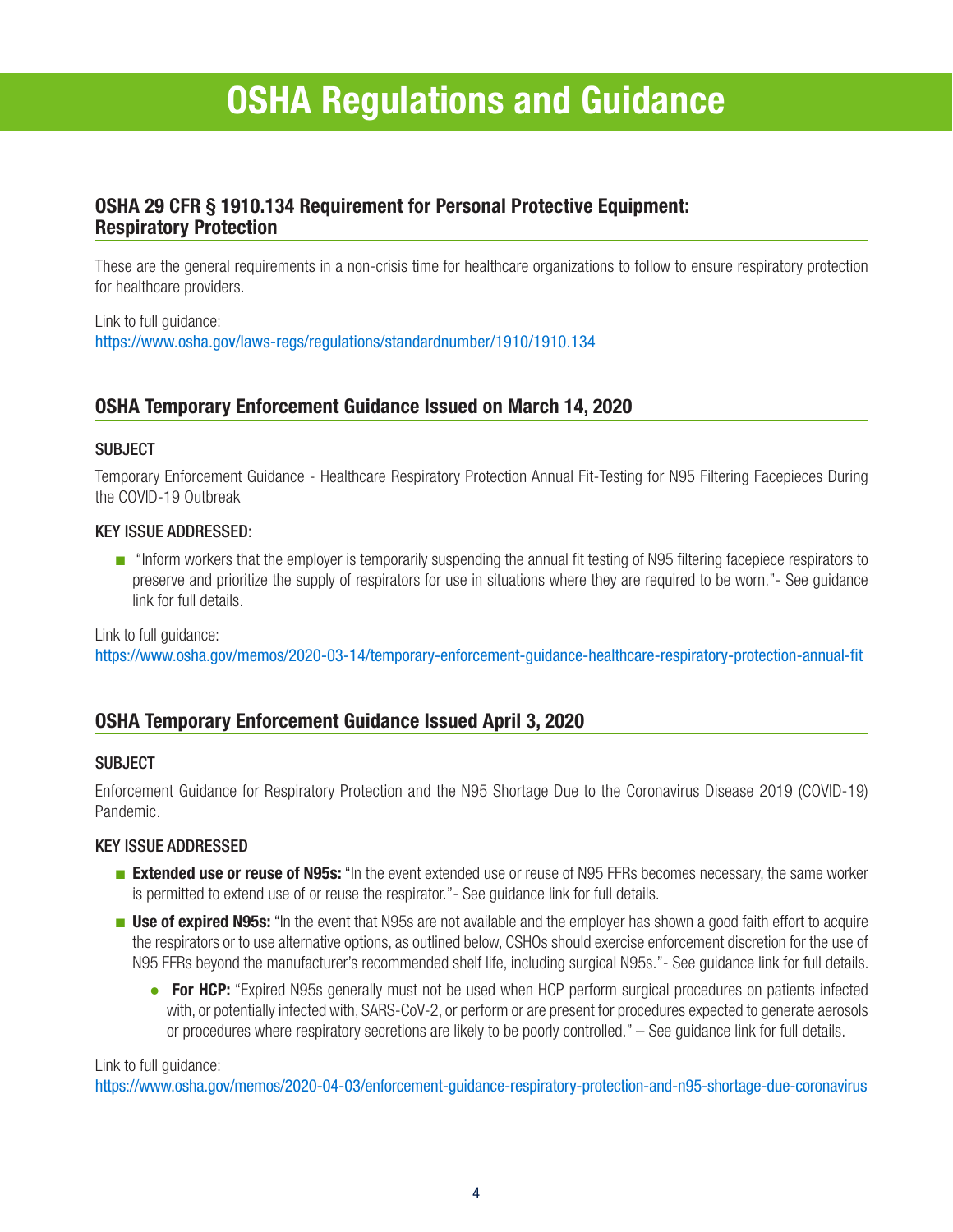# **OSHA Regulations and Guidance**

### **OSHA 29 CFR § 1910.134 Requirement for Personal Protective Equipment: Respiratory Protection**

These are the general requirements in a non-crisis time for healthcare organizations to follow to ensure respiratory protection for healthcare providers.

Link to full guidance: https://www.osha.gov/laws-regs/regulations/standardnumber/1910/1910.134

### **OSHA Temporary Enforcement Guidance Issued on March 14, 2020**

### SUBJECT

Temporary Enforcement Guidance - Healthcare Respiratory Protection Annual Fit-Testing for N95 Filtering Facepieces During the COVID-19 Outbreak

### KEY ISSUE ADDRESSED:

■ "Inform workers that the employer is temporarily suspending the annual fit testing of N95 filtering facepiece respirators to preserve and prioritize the supply of respirators for use in situations where they are required to be worn."- See guidance link for full details.

Link to full guidance:

https://www.osha.gov/memos/2020-03-14/temporary-enforcement-guidance-healthcare-respiratory-protection-annual-fit

### **OSHA Temporary Enforcement Guidance Issued April 3, 2020**

### **SUBJECT**

Enforcement Guidance for Respiratory Protection and the N95 Shortage Due to the Coronavirus Disease 2019 (COVID-19) Pandemic.

### KEY ISSUE ADDRESSED

- **Extended use or reuse of N95s:** "In the event extended use or reuse of N95 FFRs becomes necessary, the same worker is permitted to extend use of or reuse the respirator."- See guidance link for full details.
- **Use of expired N95s:** "In the event that N95s are not available and the employer has shown a good faith effort to acquire the respirators or to use alternative options, as outlined below, CSHOs should exercise enforcement discretion for the use of N95 FFRs beyond the manufacturer's recommended shelf life, including surgical N95s."- See guidance link for full details.
	- **For HCP:** "Expired N95s generally must not be used when HCP perform surgical procedures on patients infected with, or potentially infected with, SARS-CoV-2, or perform or are present for procedures expected to generate aerosols or procedures where respiratory secretions are likely to be poorly controlled." – See guidance link for full details.

#### Link to full guidance:

https://www.osha.gov/memos/2020-04-03/enforcement-guidance-respiratory-protection-and-n95-shortage-due-coronavirus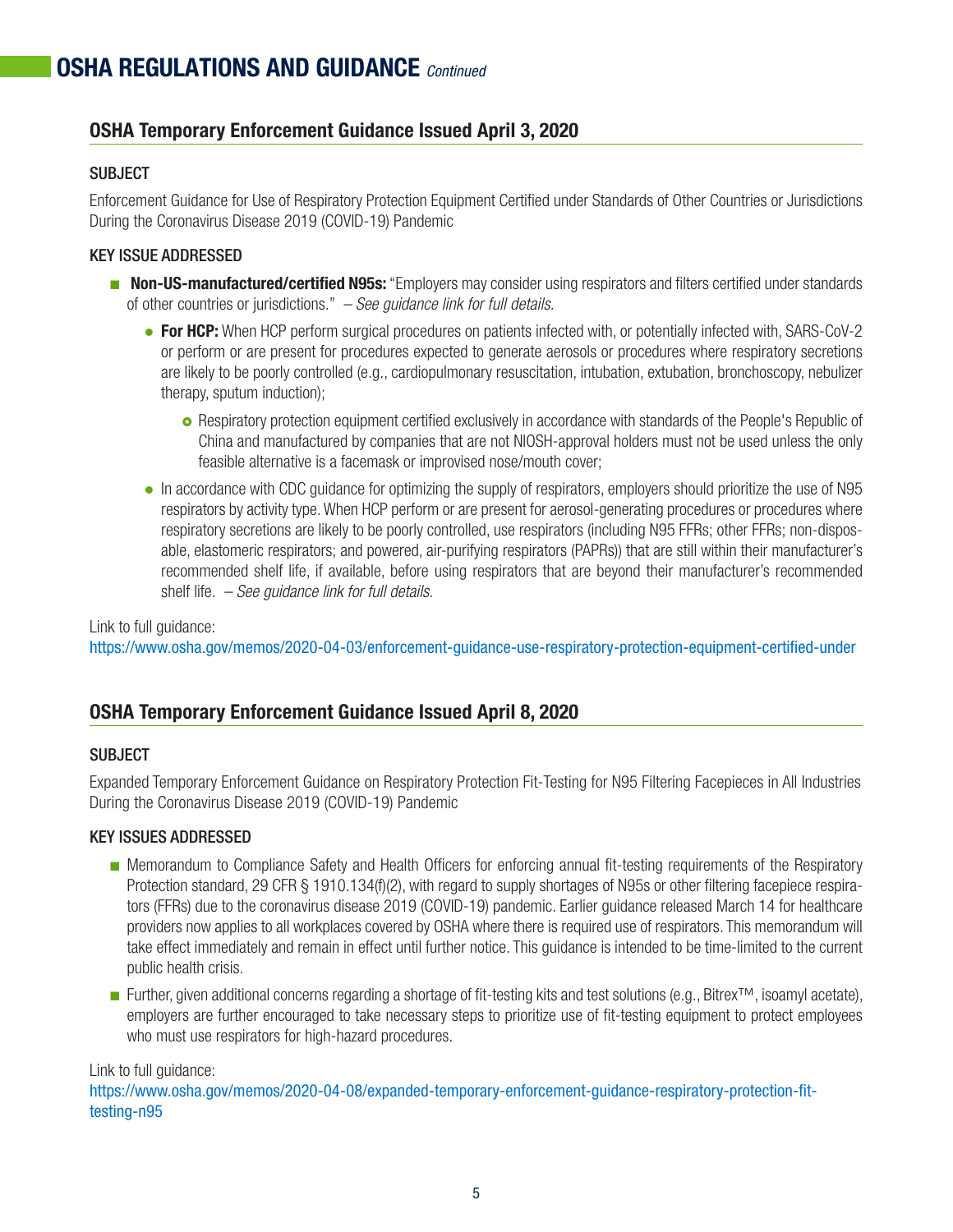### **OSHA Temporary Enforcement Guidance Issued April 3, 2020**

### **SUBJECT**

Enforcement Guidance for Use of Respiratory Protection Equipment Certified under Standards of Other Countries or Jurisdictions During the Coronavirus Disease 2019 (COVID-19) Pandemic

### KEY ISSUE ADDRESSED

- **Non-US-manufactured/certified N95s:** "Employers may consider using respirators and filters certified under standards of other countries or jurisdictions." *– See guidance link for full details.*
	- **For HCP:** When HCP perform surgical procedures on patients infected with, or potentially infected with, SARS-CoV-2 or perform or are present for procedures expected to generate aerosols or procedures where respiratory secretions are likely to be poorly controlled (e.g., cardiopulmonary resuscitation, intubation, extubation, bronchoscopy, nebulizer therapy, sputum induction);
		- **o** Respiratory protection equipment certified exclusively in accordance with standards of the People's Republic of China and manufactured by companies that are not NIOSH-approval holders must not be used unless the only feasible alternative is a facemask or improvised nose/mouth cover;
	- In accordance with CDC quidance for optimizing the supply of respirators, employers should prioritize the use of N95 respirators by activity type. When HCP perform or are present for aerosol-generating procedures or procedures where respiratory secretions are likely to be poorly controlled, use respirators (including N95 FFRs; other FFRs; non-disposable, elastomeric respirators; and powered, air-purifying respirators (PAPRs)) that are still within their manufacturer's recommended shelf life, if available, before using respirators that are beyond their manufacturer's recommended shelf life. *– See guidance link for full details.*

### Link to full guidance:

https://www.osha.gov/memos/2020-04-03/enforcement-guidance-use-respiratory-protection-equipment-certified-under

### **OSHA Temporary Enforcement Guidance Issued April 8, 2020**

### **SUBJECT**

Expanded Temporary Enforcement Guidance on Respiratory Protection Fit-Testing for N95 Filtering Facepieces in All Industries During the Coronavirus Disease 2019 (COVID-19) Pandemic

### KEY ISSUES ADDRESSED

- Memorandum to Compliance Safety and Health Officers for enforcing annual fit-testing requirements of the Respiratory Protection standard, 29 CFR § 1910.134(f)(2), with regard to supply shortages of N95s or other filtering facepiece respirators (FFRs) due to the coronavirus disease 2019 (COVID-19) pandemic. Earlier guidance released March 14 for healthcare providers now applies to all workplaces covered by OSHA where there is required use of respirators. This memorandum will take effect immediately and remain in effect until further notice. This guidance is intended to be time-limited to the current public health crisis.
- Further, given additional concerns regarding a shortage of fit-testing kits and test solutions (e.g., Bitrex™, isoamyl acetate), employers are further encouraged to take necessary steps to prioritize use of fit-testing equipment to protect employees who must use respirators for high-hazard procedures.

Link to full guidance:

https://www.osha.gov/memos/2020-04-08/expanded-temporary-enforcement-guidance-respiratory-protection-fittesting-n95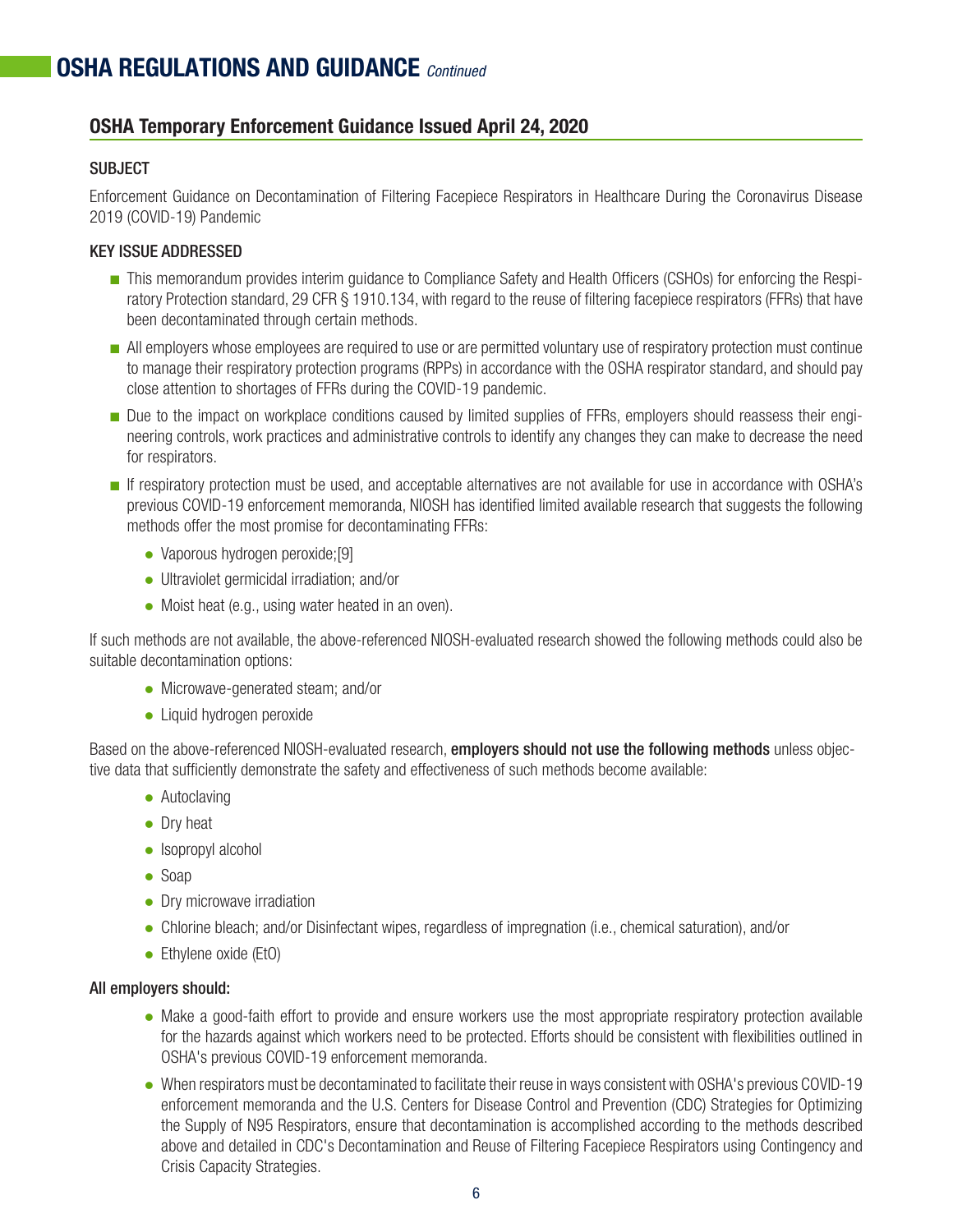### **OSHA Temporary Enforcement Guidance Issued April 24, 2020**

### **SUBJECT**

Enforcement Guidance on Decontamination of Filtering Facepiece Respirators in Healthcare During the Coronavirus Disease 2019 (COVID-19) Pandemic

### KEY ISSUE ADDRESSED

- This memorandum provides interim guidance to Compliance Safety and Health Officers (CSHOs) for enforcing the Respiratory Protection standard, 29 CFR § 1910.134, with regard to the reuse of filtering facepiece respirators (FFRs) that have been decontaminated through certain methods.
- All employers whose employees are required to use or are permitted voluntary use of respiratory protection must continue to manage their respiratory protection programs (RPPs) in accordance with the OSHA respirator standard, and should pay close attention to shortages of FFRs during the COVID-19 pandemic.
- Due to the impact on workplace conditions caused by limited supplies of FFRs, employers should reassess their engineering controls, work practices and administrative controls to identify any changes they can make to decrease the need for respirators.
- If respiratory protection must be used, and acceptable alternatives are not available for use in accordance with OSHA's previous COVID-19 enforcement memoranda, NIOSH has identified limited available research that suggests the following methods offer the most promise for decontaminating FFRs:
	- Vaporous hydrogen peroxide;[9]
	- Ultraviolet germicidal irradiation; and/or
	- $\bullet$  Moist heat (e.g., using water heated in an oven).

If such methods are not available, the above-referenced NIOSH-evaluated research showed the following methods could also be suitable decontamination options:

- Microwave-generated steam; and/or
- Liquid hydrogen peroxide

Based on the above-referenced NIOSH-evaluated research, employers should not use the following methods unless objective data that sufficiently demonstrate the safety and effectiveness of such methods become available:

- $\bullet$  Autoclaving
- Dry heat
- $\bullet$  Isopropyl alcohol
- $\bullet$  Soap
- $\bullet$  Dry microwave irradiation
- Chlorine bleach; and/or Disinfectant wipes, regardless of impregnation (i.e., chemical saturation), and/or
- Ethylene oxide (EtO)

### All employers should:

- Make a good-faith effort to provide and ensure workers use the most appropriate respiratory protection available for the hazards against which workers need to be protected. Efforts should be consistent with flexibilities outlined in OSHA's previous COVID-19 enforcement memoranda.
- When respirators must be decontaminated to facilitate their reuse in ways consistent with OSHA's previous COVID-19 enforcement memoranda and the U.S. Centers for Disease Control and Prevention (CDC) Strategies for Optimizing the Supply of N95 Respirators, ensure that decontamination is accomplished according to the methods described above and detailed in CDC's Decontamination and Reuse of Filtering Facepiece Respirators using Contingency and Crisis Capacity Strategies.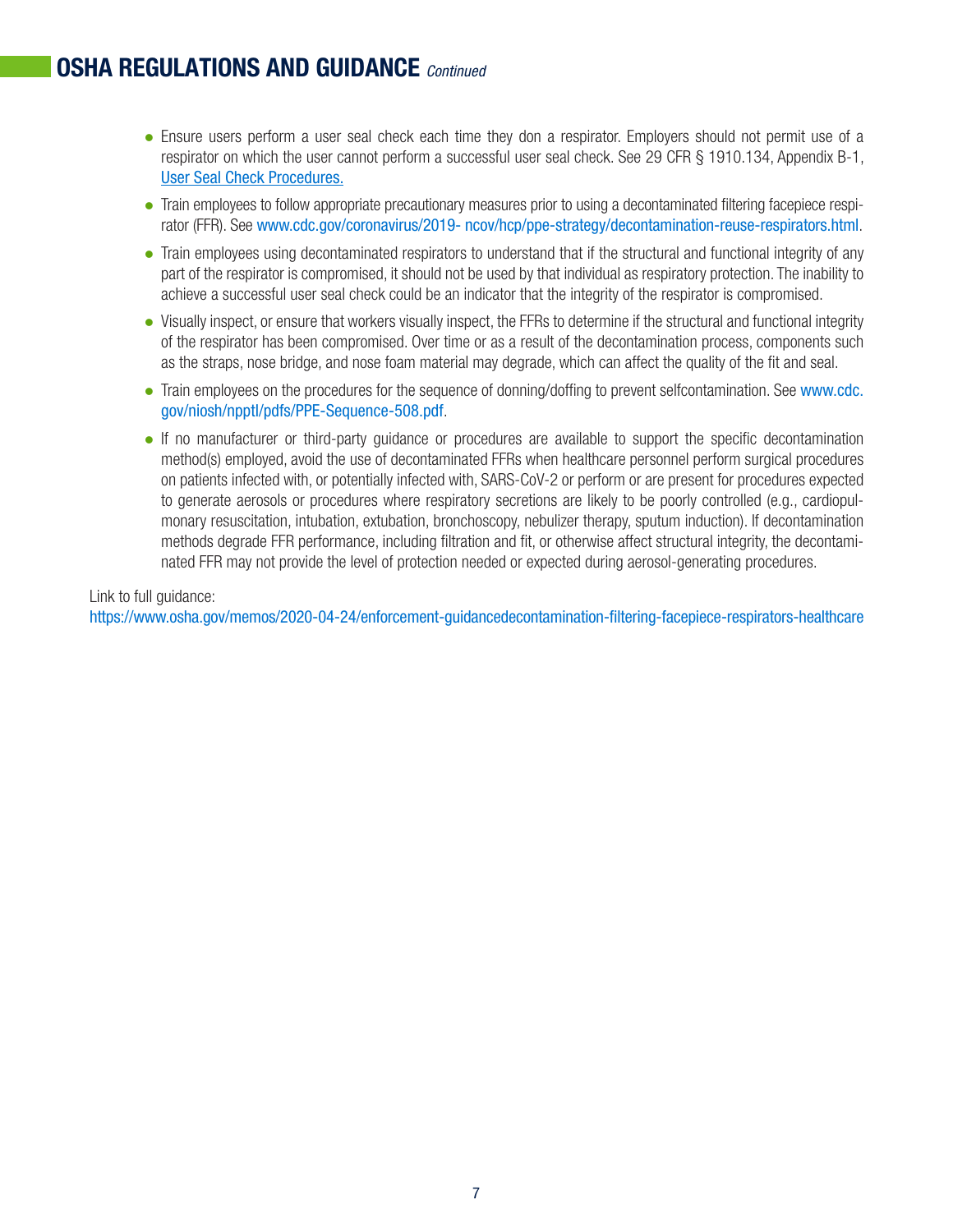# **OSHA REGULATIONS AND GUIDANCE** *Continued*

- Ensure users perform a user seal check each time they don a respirator. Employers should not permit use of a respirator on which the user cannot perform a successful user seal check. See 29 CFR § 1910.134, Appendix B-1, [User Seal Check Procedures.](https://www.osha.gov/laws-regs/regulations/standardnumber/1910/1910.134AppB1)
- Train employees to follow appropriate precautionary measures prior to using a decontaminated filtering facepiece respirator (FFR). See www.cdc.gov/coronavirus/2019- ncov/hcp/ppe-strategy/decontamination-reuse-respirators.html.
- Train employees using decontaminated respirators to understand that if the structural and functional integrity of any part of the respirator is compromised, it should not be used by that individual as respiratory protection. The inability to achieve a successful user seal check could be an indicator that the integrity of the respirator is compromised.
- Visually inspect, or ensure that workers visually inspect, the FFRs to determine if the structural and functional integrity of the respirator has been compromised. Over time or as a result of the decontamination process, components such as the straps, nose bridge, and nose foam material may degrade, which can affect the quality of the fit and seal.
- [Train employees on the procedures for the sequence of donning/doffing to prevent selfcontamination. See](https://www.cdc.gov/niosh/npptl/pdfs/PPE-Sequence-508.pdf) www.cdc. gov/niosh/npptl/pdfs/PPE-Sequence-508.pdf.
- If no manufacturer or third-party quidance or procedures are available to support the specific decontamination method(s) employed, avoid the use of decontaminated FFRs when healthcare personnel perform surgical procedures on patients infected with, or potentially infected with, SARS-CoV-2 or perform or are present for procedures expected to generate aerosols or procedures where respiratory secretions are likely to be poorly controlled (e.g., cardiopulmonary resuscitation, intubation, extubation, bronchoscopy, nebulizer therapy, sputum induction). If decontamination methods degrade FFR performance, including filtration and fit, or otherwise affect structural integrity, the decontaminated FFR may not provide the level of protection needed or expected during aerosol-generating procedures.

Link to full guidance: [https://www.osha.gov/memos/2020-04-24/enforcement-guidancedecontamination-filtering-facepiece-respirators-healthcare](https://www.osha.gov/memos/2020-04-24/enforcement-guidance-decontamination-filtering-facepiece-respirators-healthcare)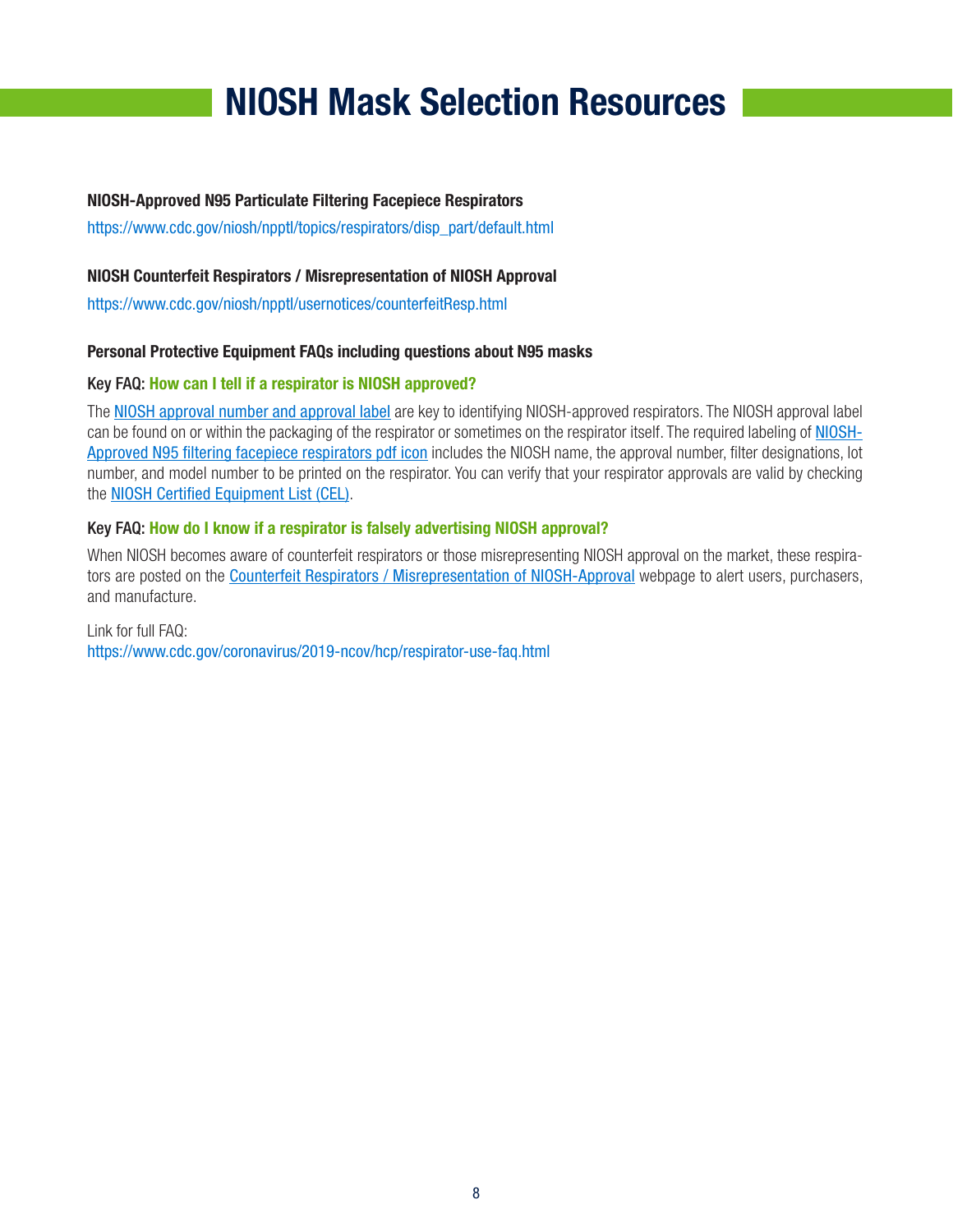# **NIOSH Mask Selection Resources**

### **NIOSH-Approved N95 Particulate Filtering Facepiece Respirators**

https://www.cdc.gov/niosh/npptl/topics/respirators/disp\_part/default.html

### **NIOSH Counterfeit Respirators / Misrepresentation of NIOSH Approval**

https://www.cdc.gov/niosh/npptl/usernotices/counterfeitResp.html

### **Personal Protective Equipment FAQs including questions about N95 masks**

### Key FAQ: **How can I tell if a respirator is NIOSH approved?**

The [NIOSH approval number and approval label](https://www.cdc.gov/niosh/npptl/topics/respirators/disp_part/respsource1quest2.html) are key to identifying NIOSH-approved respirators. The NIOSH approval label can be found on or within the packaging of the respirator or sometimes on the respirator itself. The required labeling of NIOSH-[Approved N95 filtering facepiece respirators pdf icon](https://www.cdc.gov/niosh/npptl/pdfs/N95-Infographic-Mask-Labeling-508.pdf) includes the NIOSH name, the approval number, filter designations, lot number, and model number to be printed on the respirator. You can verify that your respirator approvals are valid by checking the [NIOSH Certified Equipment List \(CEL\)](https://www.cdc.gov/niosh/npptl/topics/respirators/cel/default.html).

### Key FAQ: **How do I know if a respirator is falsely advertising NIOSH approval?**

When NIOSH becomes aware of counterfeit respirators or those misrepresenting NIOSH approval on the market, these respirators are posted on the [Counterfeit Respirators / Misrepresentation of NIOSH-Approval](https://www.cdc.gov/niosh/npptl/usernotices/counterfeitResp.html) webpage to alert users, purchasers, and manufacture.

#### Link for full FAQ: <https://www.cdc.gov/coronavirus/2019-ncov/hcp/respirator-use-faq.html>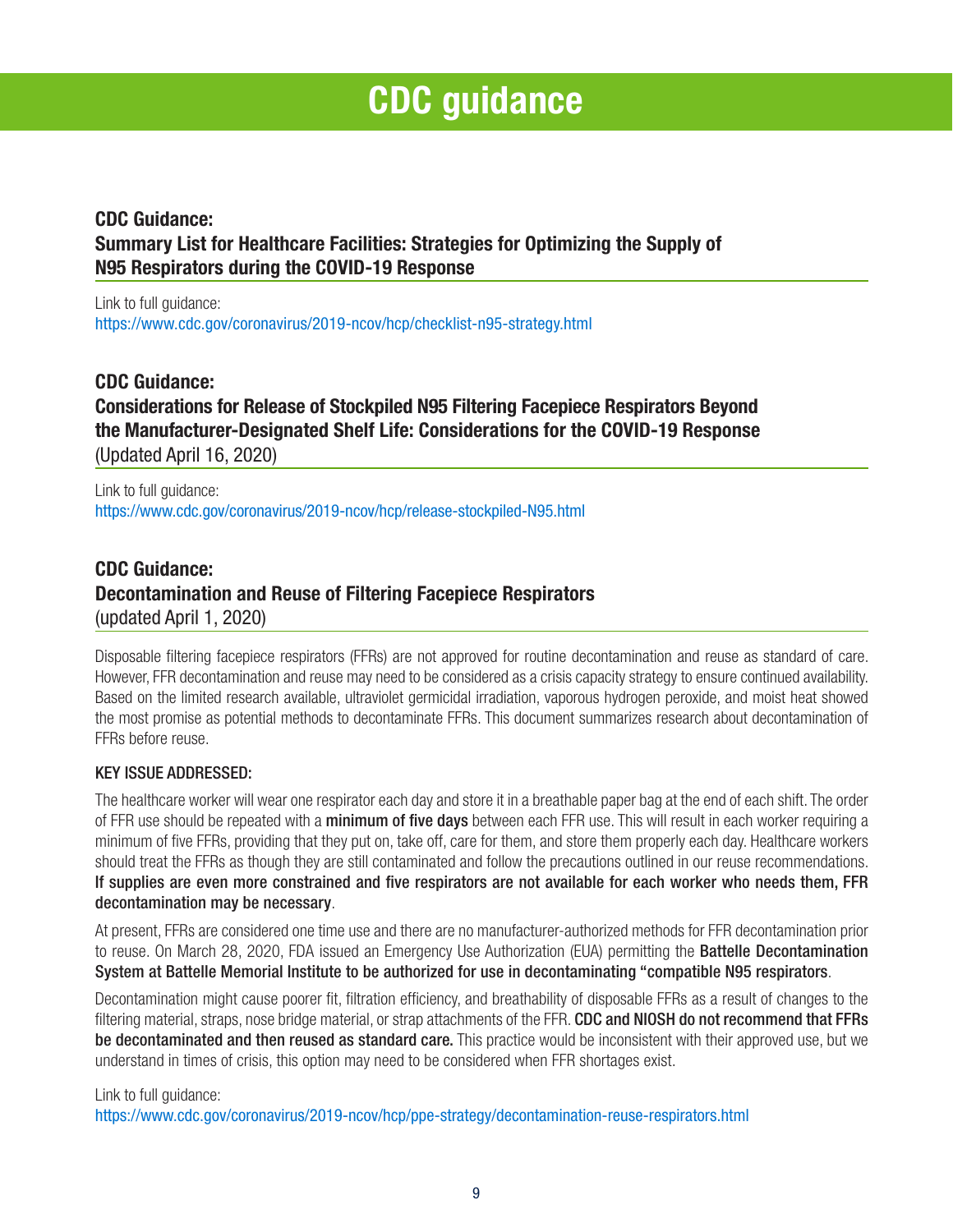# **CDC guidance**

### **CDC Guidance: Summary List for Healthcare Facilities: Strategies for Optimizing the Supply of N95 Respirators during the COVID-19 Response**

Link to full guidance: https://www.cdc.gov/coronavirus/2019-ncov/hcp/checklist-n95-strategy.html

### **CDC Guidance: Considerations for Release of Stockpiled N95 Filtering Facepiece Respirators Beyond the Manufacturer-Designated Shelf Life: Considerations for the COVID-19 Response**  (Updated April 16, 2020)

Link to full guidance: https://www.cdc.gov/coronavirus/2019-ncov/hcp/release-stockpiled-N95.html

## **CDC Guidance: Decontamination and Reuse of Filtering Facepiece Respirators**  (updated April 1, 2020)

Disposable filtering facepiece respirators (FFRs) are not approved for routine decontamination and reuse as standard of care. However, FFR decontamination and reuse may need to be considered as a crisis capacity strategy to ensure continued availability. Based on the limited research available, ultraviolet germicidal irradiation, vaporous hydrogen peroxide, and moist heat showed the most promise as potential methods to decontaminate FFRs. This document summarizes research about decontamination of FFRs before reuse.

### KEY ISSUE ADDRESSED:

The healthcare worker will wear one respirator each day and store it in a breathable paper bag at the end of each shift. The order of FFR use should be repeated with a minimum of five days between each FFR use. This will result in each worker requiring a minimum of five FFRs, providing that they put on, take off, care for them, and store them properly each day. Healthcare workers should treat the FFRs as though they are still contaminated and follow the precautions outlined in our reuse recommendations. If supplies are even more constrained and five respirators are not available for each worker who needs them, FFR decontamination may be necessary.

At present, FFRs are considered one time use and there are no manufacturer-authorized methods for FFR decontamination prior to reuse. On March 28, 2020, FDA issued an Emergency Use Authorization (EUA) permitting the **Battelle Decontamination** System at Battelle Memorial Institute to be authorized for use in decontaminating "compatible N95 respirators.

Decontamination might cause poorer fit, filtration efficiency, and breathability of disposable FFRs as a result of changes to the filtering material, straps, nose bridge material, or strap attachments of the FFR. CDC and NIOSH do not recommend that FFRs be decontaminated and then reused as standard care. This practice would be inconsistent with their approved use, but we understand in times of crisis, this option may need to be considered when FFR shortages exist.

### Link to full guidance:

https://www.cdc.gov/coronavirus/2019-ncov/hcp/ppe-strategy/decontamination-reuse-respirators.html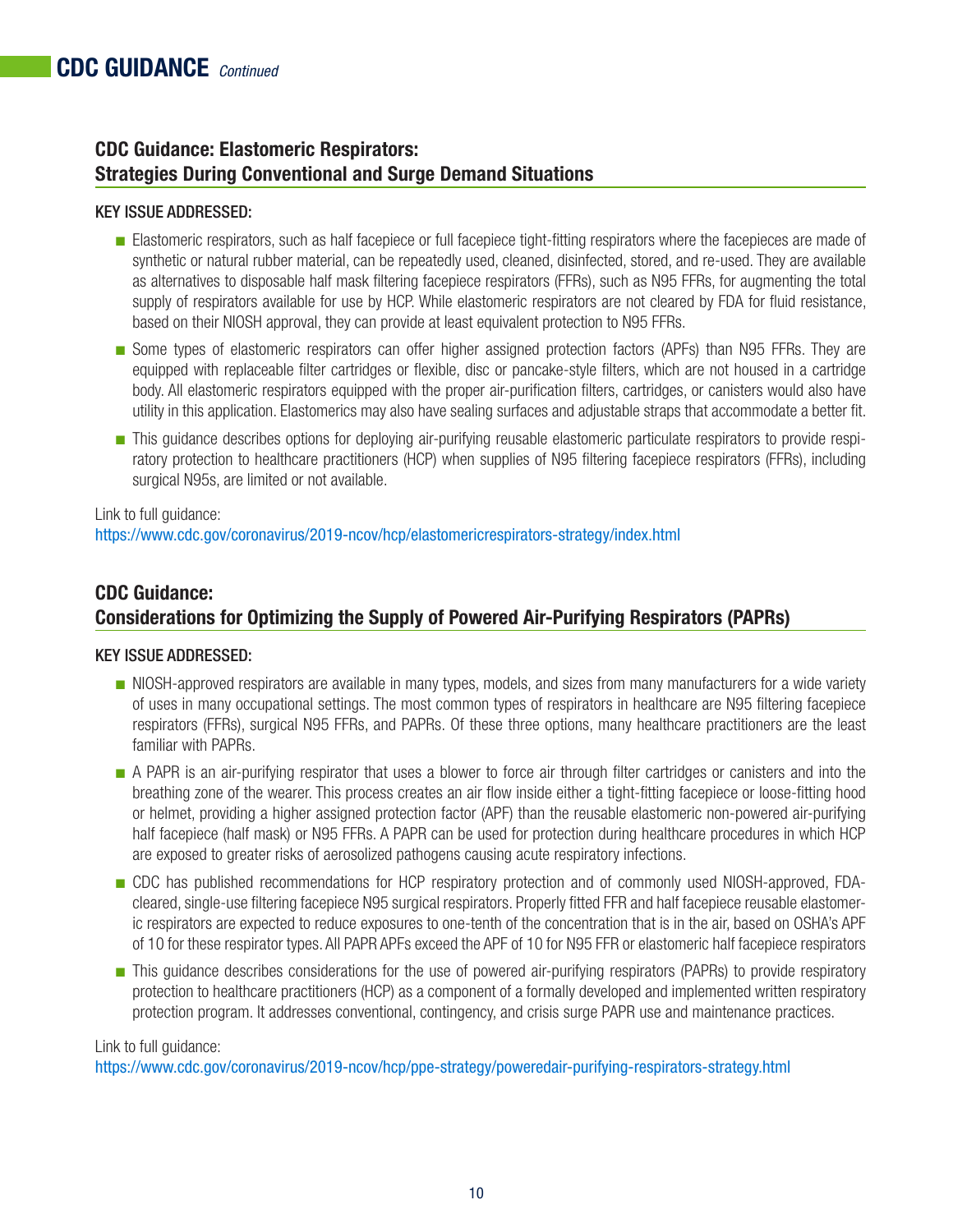### **CDC Guidance: Elastomeric Respirators: Strategies During Conventional and Surge Demand Situations**

### KEY ISSUE ADDRESSED:

- Elastomeric respirators, such as half facepiece or full facepiece tight-fitting respirators where the facepieces are made of synthetic or natural rubber material, can be repeatedly used, cleaned, disinfected, stored, and re-used. They are available as alternatives to disposable half mask filtering facepiece respirators (FFRs), such as N95 FFRs, for augmenting the total supply of respirators available for use by HCP. While elastomeric respirators are not cleared by FDA for fluid resistance, based on their NIOSH approval, they can provide at least equivalent protection to N95 FFRs.
- Some types of elastomeric respirators can offer higher assigned protection factors (APFs) than N95 FFRs. They are equipped with replaceable filter cartridges or flexible, disc or pancake-style filters, which are not housed in a cartridge body. All elastomeric respirators equipped with the proper air-purification filters, cartridges, or canisters would also have utility in this application. Elastomerics may also have sealing surfaces and adjustable straps that accommodate a better fit.
- This guidance describes options for deploying air-purifying reusable elastomeric particulate respirators to provide respiratory protection to healthcare practitioners (HCP) when supplies of N95 filtering facepiece respirators (FFRs), including surgical N95s, are limited or not available.

Link to full guidance: [https://www.cdc.gov/coronavirus/2019-ncov/hcp/elastomericrespirators-strategy/index.html](https://www.cdc.gov/coronavirus/2019-ncov/hcp/elastomeric-respirators-strategy/index.html)

### **CDC Guidance: Considerations for Optimizing the Supply of Powered Air-Purifying Respirators (PAPRs)**

### KEY ISSUE ADDRESSED:

- NIOSH-approved respirators are available in many types, models, and sizes from many manufacturers for a wide variety of uses in many occupational settings. The most common types of respirators in healthcare are N95 filtering facepiece respirators (FFRs), surgical N95 FFRs, and PAPRs. Of these three options, many healthcare practitioners are the least familiar with PAPRs.
- A PAPR is an air-purifying respirator that uses a blower to force air through filter cartridges or canisters and into the breathing zone of the wearer. This process creates an air flow inside either a tight-fitting facepiece or loose-fitting hood or helmet, providing a higher assigned protection factor (APF) than the reusable elastomeric non-powered air-purifying half facepiece (half mask) or N95 FFRs. A PAPR can be used for protection during healthcare procedures in which HCP are exposed to greater risks of aerosolized pathogens causing acute respiratory infections.
- CDC has published recommendations for HCP respiratory protection and of commonly used NIOSH-approved, FDAcleared, single-use filtering facepiece N95 surgical respirators. Properly fitted FFR and half facepiece reusable elastomeric respirators are expected to reduce exposures to one-tenth of the concentration that is in the air, based on OSHA's APF of 10 for these respirator types. All PAPR APFs exceed the APF of 10 for N95 FFR or elastomeric half facepiece respirators
- This guidance describes considerations for the use of powered air-purifying respirators (PAPRs) to provide respiratory protection to healthcare practitioners (HCP) as a component of a formally developed and implemented written respiratory protection program. It addresses conventional, contingency, and crisis surge PAPR use and maintenance practices.

### Link to full guidance:

[https://www.cdc.gov/coronavirus/2019-ncov/hcp/ppe-strategy/poweredair-purifying-respirators-strategy.html](https://www.cdc.gov/coronavirus/2019-ncov/hcp/ppe-strategy/powered-air-purifying-respirators-strategy.html)